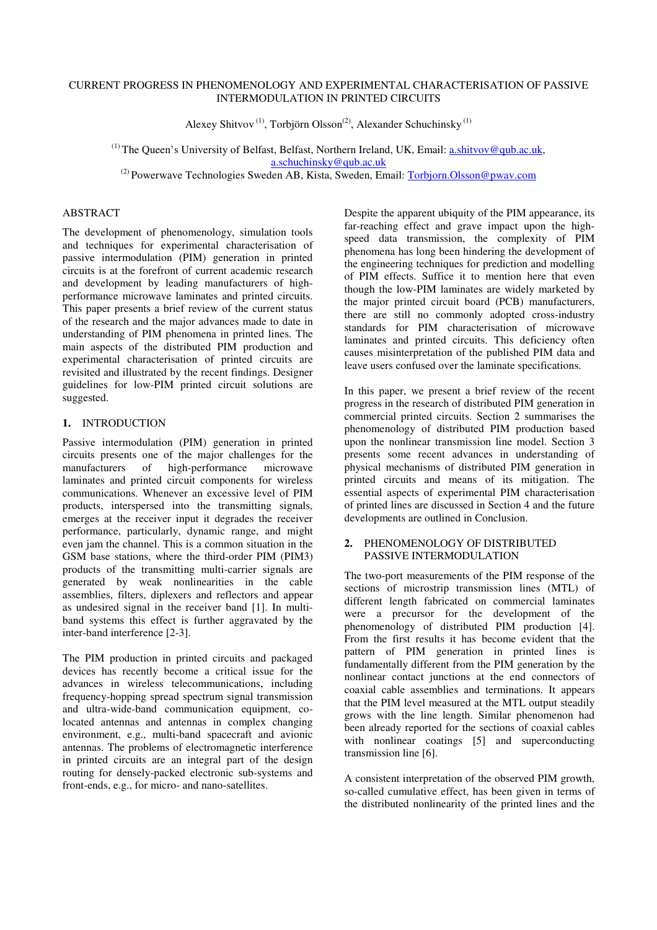# CURRENT PROGRESS IN PHENOMENOLOGY AND EXPERIMENTAL CHARACTERISATION OF PASSIVE INTERMODULATION IN PRINTED CIRCUITS

Alexey Shitvov (1), Torbjörn Olsson(2), Alexander Schuchinsky (1)

 $<sup>(1)</sup>$  The Queen's University of Belfast, Belfast, Northern Ireland, UK, Email: a.shitvov@qub.ac.uk,</sup> a.schuchinsky@qub.ac.uk (2) Powerwave Technologies Sweden AB, Kista, Sweden, Email: Torbjorn.Olsson@pwav.com

### ABSTRACT

The development of phenomenology, simulation tools and techniques for experimental characterisation of passive intermodulation (PIM) generation in printed circuits is at the forefront of current academic research and development by leading manufacturers of highperformance microwave laminates and printed circuits. This paper presents a brief review of the current status of the research and the major advances made to date in understanding of PIM phenomena in printed lines. The main aspects of the distributed PIM production and experimental characterisation of printed circuits are revisited and illustrated by the recent findings. Designer guidelines for low-PIM printed circuit solutions are suggested.

# 1. INTRODUCTION

Passive intermodulation (PIM) generation in printed circuits presents one of the major challenges for the manufacturers of high-performance microwave laminates and printed circuit components for wireless communications. Whenever an excessive level of PIM products, interspersed into the transmitting signals, emerges at the receiver input it degrades the receiver performance, particularly, dynamic range, and might even jam the channel. This is a common situation in the GSM base stations, where the third-order PIM (PIM3) products of the transmitting multi-carrier signals are generated by weak nonlinearities in the cable assemblies, filters, diplexers and reflectors and appear as undesired signal in the receiver band [1]. In multiband systems this effect is further aggravated by the inter-band interference [2-3].

The PIM production in printed circuits and packaged devices has recently become a critical issue for the advances in wireless telecommunications, including frequency-hopping spread spectrum signal transmission and ultra-wide-band communication equipment, colocated antennas and antennas in complex changing environment, e.g., multi-band spacecraft and avionic antennas. The problems of electromagnetic interference in printed circuits are an integral part of the design routing for densely-packed electronic sub-systems and front-ends, e.g., for micro- and nano-satellites.

Despite the apparent ubiquity of the PIM appearance, its far-reaching effect and grave impact upon the highspeed data transmission, the complexity of PIM phenomena has long been hindering the development of the engineering techniques for prediction and modelling of PIM effects. Suffice it to mention here that even though the low-PIM laminates are widely marketed by the major printed circuit board (PCB) manufacturers, there are still no commonly adopted cross-industry standards for PIM characterisation of microwave laminates and printed circuits. This deficiency often causes misinterpretation of the published PIM data and leave users confused over the laminate specifications.

In this paper, we present a brief review of the recent progress in the research of distributed PIM generation in commercial printed circuits. Section 2 summarises the phenomenology of distributed PIM production based upon the nonlinear transmission line model. Section 3 presents some recent advances in understanding of physical mechanisms of distributed PIM generation in printed circuits and means of its mitigation. The essential aspects of experimental PIM characterisation of printed lines are discussed in Section 4 and the future developments are outlined in Conclusion.

### 2. PHENOMENOLOGY OF DISTRIBUTED PASSIVE INTERMODULATION

The two-port measurements of the PIM response of the sections of microstrip transmission lines (MTL) of different length fabricated on commercial laminates were a precursor for the development of the phenomenology of distributed PIM production [4]. From the first results it has become evident that the pattern of PIM generation in printed lines is fundamentally different from the PIM generation by the nonlinear contact junctions at the end connectors of coaxial cable assemblies and terminations. It appears that the PIM level measured at the MTL output steadily grows with the line length. Similar phenomenon had been already reported for the sections of coaxial cables with nonlinear coatings [5] and superconducting transmission line [6].

A consistent interpretation of the observed PIM growth, so-called cumulative effect, has been given in terms of the distributed nonlinearity of the printed lines and the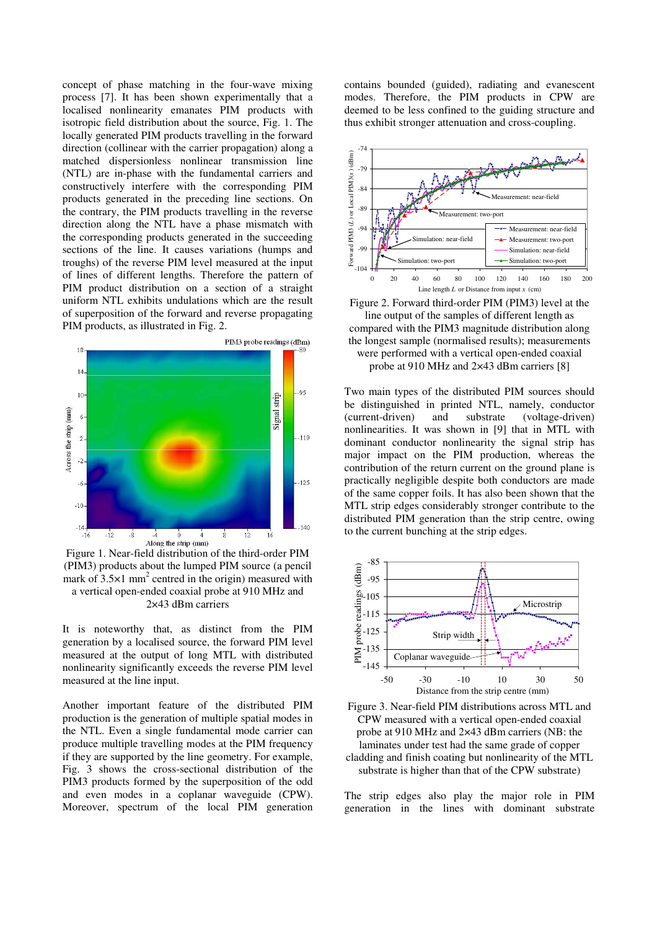concept of phase matching in the four-wave mixing process [7]. It has been shown experimentally that a localised nonlinearity emanates PIM products with isotropic field distribution about the source, Fig. 1. The locally generated PIM products travelling in the forward direction (collinear with the carrier propagation) along a matched dispersionless nonlinear transmission line (NTL) are in-phase with the fundamental carriers and constructively interfere with the corresponding PIM products generated in the preceding line sections. On the contrary, the PIM products travelling in the reverse direction along the NTL have a phase mismatch with the corresponding products generated in the succeeding sections of the line. It causes variations (humps and troughs) of the reverse PIM level measured at the input of lines of different lengths. Therefore the pattern of PIM product distribution on a section of a straight uniform NTL exhibits undulations which are the result of superposition of the forward and reverse propagating PIM products, as illustrated in Fig. 2.



Figure 1. Near-field distribution of the third-order PIM (PIM3) products about the lumped PIM source (a pencil mark of  $3.5 \times 1$  mm<sup>2</sup> centred in the origin) measured with a vertical open-ended coaxial probe at 910 MHz and 2×43 dBm carriers

It is noteworthy that, as distinct from the PIM generation by a localised source, the forward PIM level measured at the output of long MTL with distributed nonlinearity significantly exceeds the reverse PIM level measured at the line input.

Another important feature of the distributed PIM production is the generation of multiple spatial modes in the NTL. Even a single fundamental mode carrier can produce multiple travelling modes at the PIM frequency if they are supported by the line geometry. For example, Fig. 3 shows the cross-sectional distribution of the PIM3 products formed by the superposition of the odd and even modes in a coplanar waveguide (CPW). Moreover, spectrum of the local PIM generation contains bounded (guided), radiating and evanescent modes. Therefore, the PIM products in CPW are deemed to be less confined to the guiding structure and thus exhibit stronger attenuation and cross-coupling.



Figure 2. Forward third-order PIM (PIM3) level at the line output of the samples of different length as compared with the PIM3 magnitude distribution along the longest sample (normalised results); measurements were performed with a vertical open-ended coaxial probe at 910 MHz and 2×43 dBm carriers [8]

Two main types of the distributed PIM sources should be distinguished in printed NTL, namely, conductor (current-driven) and substrate (voltage-driven) nonlinearities. It was shown in [9] that in MTL with dominant conductor nonlinearity the signal strip has major impact on the PIM production, whereas the contribution of the return current on the ground plane is practically negligible despite both conductors are made of the same copper foils. It has also been shown that the MTL strip edges considerably stronger contribute to the distributed PIM generation than the strip centre, owing to the current bunching at the strip edges.



Figure 3. Near-field PIM distributions across MTL and CPW measured with a vertical open-ended coaxial probe at 910 MHz and 2×43 dBm carriers (NB: the laminates under test had the same grade of copper cladding and finish coating but nonlinearity of the MTL substrate is higher than that of the CPW substrate)

The strip edges also play the major role in PIM generation in the lines with dominant substrate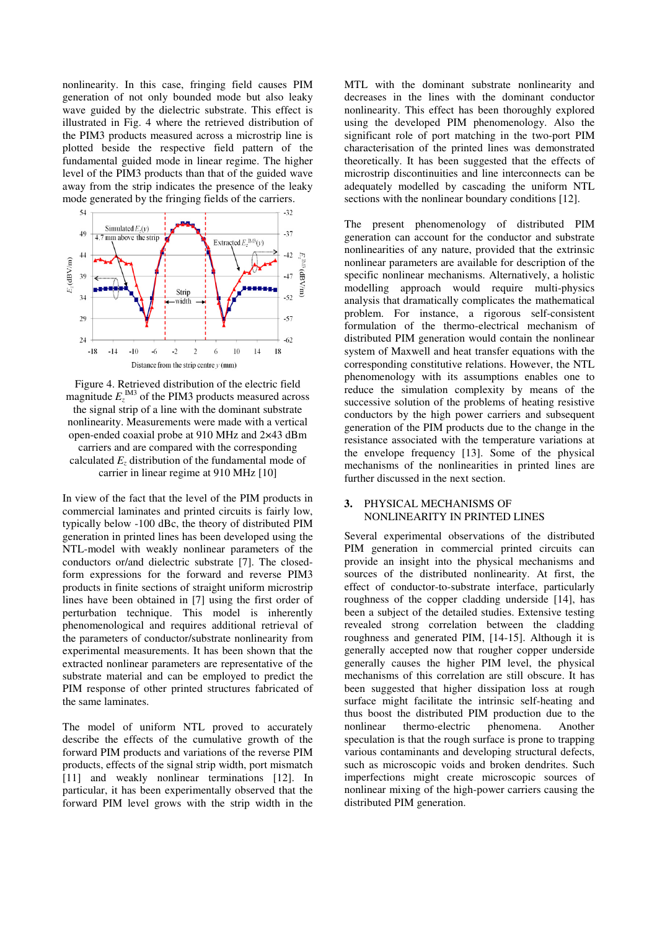nonlinearity. In this case, fringing field causes PIM generation of not only bounded mode but also leaky wave guided by the dielectric substrate. This effect is illustrated in Fig. 4 where the retrieved distribution of the PIM3 products measured across a microstrip line is plotted beside the respective field pattern of the fundamental guided mode in linear regime. The higher level of the PIM3 products than that of the guided wave away from the strip indicates the presence of the leaky mode generated by the fringing fields of the carriers.



Figure 4. Retrieved distribution of the electric field magnitude  $E_z^{\text{IM3}}$  of the PIM3 products measured across the signal strip of a line with the dominant substrate nonlinearity. Measurements were made with a vertical open-ended coaxial probe at 910 MHz and 2×43 dBm carriers and are compared with the corresponding calculated  $E<sub>z</sub>$  distribution of the fundamental mode of carrier in linear regime at 910 MHz [10]

In view of the fact that the level of the PIM products in commercial laminates and printed circuits is fairly low, typically below -100 dBc, the theory of distributed PIM generation in printed lines has been developed using the NTL-model with weakly nonlinear parameters of the conductors or/and dielectric substrate [7]. The closedform expressions for the forward and reverse PIM3 products in finite sections of straight uniform microstrip lines have been obtained in [7] using the first order of perturbation technique. This model is inherently phenomenological and requires additional retrieval of the parameters of conductor/substrate nonlinearity from experimental measurements. It has been shown that the extracted nonlinear parameters are representative of the substrate material and can be employed to predict the PIM response of other printed structures fabricated of the same laminates.

The model of uniform NTL proved to accurately describe the effects of the cumulative growth of the forward PIM products and variations of the reverse PIM products, effects of the signal strip width, port mismatch [11] and weakly nonlinear terminations [12]. In particular, it has been experimentally observed that the forward PIM level grows with the strip width in the MTL with the dominant substrate nonlinearity and decreases in the lines with the dominant conductor nonlinearity. This effect has been thoroughly explored using the developed PIM phenomenology. Also the significant role of port matching in the two-port PIM characterisation of the printed lines was demonstrated theoretically. It has been suggested that the effects of microstrip discontinuities and line interconnects can be adequately modelled by cascading the uniform NTL sections with the nonlinear boundary conditions [12].

The present phenomenology of distributed PIM generation can account for the conductor and substrate nonlinearities of any nature, provided that the extrinsic nonlinear parameters are available for description of the specific nonlinear mechanisms. Alternatively, a holistic modelling approach would require multi-physics analysis that dramatically complicates the mathematical problem. For instance, a rigorous self-consistent formulation of the thermo-electrical mechanism of distributed PIM generation would contain the nonlinear system of Maxwell and heat transfer equations with the corresponding constitutive relations. However, the NTL phenomenology with its assumptions enables one to reduce the simulation complexity by means of the successive solution of the problems of heating resistive conductors by the high power carriers and subsequent generation of the PIM products due to the change in the resistance associated with the temperature variations at the envelope frequency [13]. Some of the physical mechanisms of the nonlinearities in printed lines are further discussed in the next section.

#### 3. PHYSICAL MECHANISMS OF NONLINEARITY IN PRINTED LINES

Several experimental observations of the distributed PIM generation in commercial printed circuits can provide an insight into the physical mechanisms and sources of the distributed nonlinearity. At first, the effect of conductor-to-substrate interface, particularly roughness of the copper cladding underside [14], has been a subject of the detailed studies. Extensive testing revealed strong correlation between the cladding roughness and generated PIM, [14-15]. Although it is generally accepted now that rougher copper underside generally causes the higher PIM level, the physical mechanisms of this correlation are still obscure. It has been suggested that higher dissipation loss at rough surface might facilitate the intrinsic self-heating and thus boost the distributed PIM production due to the nonlinear thermo-electric phenomena. Another speculation is that the rough surface is prone to trapping various contaminants and developing structural defects, such as microscopic voids and broken dendrites. Such imperfections might create microscopic sources of nonlinear mixing of the high-power carriers causing the distributed PIM generation.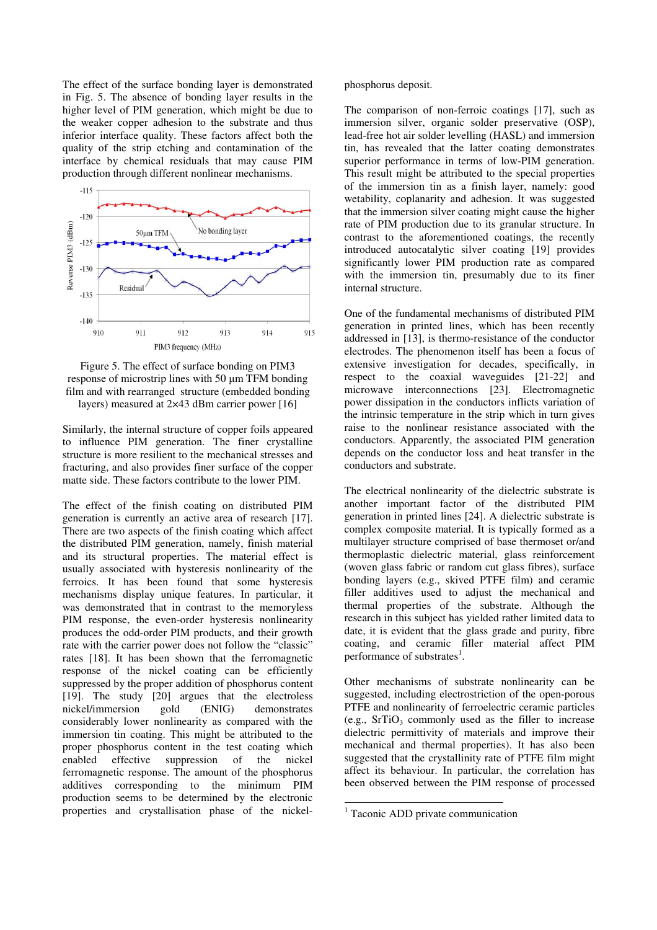The effect of the surface bonding layer is demonstrated in Fig. 5. The absence of bonding layer results in the higher level of PIM generation, which might be due to the weaker copper adhesion to the substrate and thus inferior interface quality. These factors affect both the quality of the strip etching and contamination of the interface by chemical residuals that may cause PIM production through different nonlinear mechanisms.



Figure 5. The effect of surface bonding on PIM3 response of microstrip lines with 50 µm TFM bonding film and with rearranged structure (embedded bonding layers) measured at 2×43 dBm carrier power [16]

Similarly, the internal structure of copper foils appeared to influence PIM generation. The finer crystalline structure is more resilient to the mechanical stresses and fracturing, and also provides finer surface of the copper matte side. These factors contribute to the lower PIM.

The effect of the finish coating on distributed PIM generation is currently an active area of research [17]. There are two aspects of the finish coating which affect the distributed PIM generation, namely, finish material and its structural properties. The material effect is usually associated with hysteresis nonlinearity of the ferroics. It has been found that some hysteresis mechanisms display unique features. In particular, it was demonstrated that in contrast to the memoryless PIM response, the even-order hysteresis nonlinearity produces the odd-order PIM products, and their growth rate with the carrier power does not follow the "classic" rates [18]. It has been shown that the ferromagnetic response of the nickel coating can be efficiently suppressed by the proper addition of phosphorus content [19]. The study [20] argues that the electroless nickel/immersion gold (ENIG) demonstrates considerably lower nonlinearity as compared with the immersion tin coating. This might be attributed to the proper phosphorus content in the test coating which enabled effective suppression of the nickel ferromagnetic response. The amount of the phosphorus additives corresponding to the minimum PIM production seems to be determined by the electronic properties and crystallisation phase of the nickelphosphorus deposit.

The comparison of non-ferroic coatings [17], such as immersion silver, organic solder preservative (OSP), lead-free hot air solder levelling (HASL) and immersion tin, has revealed that the latter coating demonstrates superior performance in terms of low-PIM generation. This result might be attributed to the special properties of the immersion tin as a finish layer, namely: good wetability, coplanarity and adhesion. It was suggested that the immersion silver coating might cause the higher rate of PIM production due to its granular structure. In contrast to the aforementioned coatings, the recently introduced autocatalytic silver coating [19] provides significantly lower PIM production rate as compared with the immersion tin, presumably due to its finer internal structure.

One of the fundamental mechanisms of distributed PIM generation in printed lines, which has been recently addressed in [13], is thermo-resistance of the conductor electrodes. The phenomenon itself has been a focus of extensive investigation for decades, specifically, in respect to the coaxial waveguides [21-22] and microwave interconnections [23]. Electromagnetic power dissipation in the conductors inflicts variation of the intrinsic temperature in the strip which in turn gives raise to the nonlinear resistance associated with the conductors. Apparently, the associated PIM generation depends on the conductor loss and heat transfer in the conductors and substrate.

The electrical nonlinearity of the dielectric substrate is another important factor of the distributed PIM generation in printed lines [24]. A dielectric substrate is complex composite material. It is typically formed as a multilayer structure comprised of base thermoset or/and thermoplastic dielectric material, glass reinforcement (woven glass fabric or random cut glass fibres), surface bonding layers (e.g., skived PTFE film) and ceramic filler additives used to adjust the mechanical and thermal properties of the substrate. Although the research in this subject has yielded rather limited data to date, it is evident that the glass grade and purity, fibre coating, and ceramic filler material affect PIM performance of substrates<sup>1</sup>.

Other mechanisms of substrate nonlinearity can be suggested, including electrostriction of the open-porous PTFE and nonlinearity of ferroelectric ceramic particles (e.g.,  $SrTiO<sub>3</sub>$  commonly used as the filler to increase dielectric permittivity of materials and improve their mechanical and thermal properties). It has also been suggested that the crystallinity rate of PTFE film might affect its behaviour. In particular, the correlation has been observed between the PIM response of processed

-

<sup>&</sup>lt;sup>1</sup> Taconic ADD private communication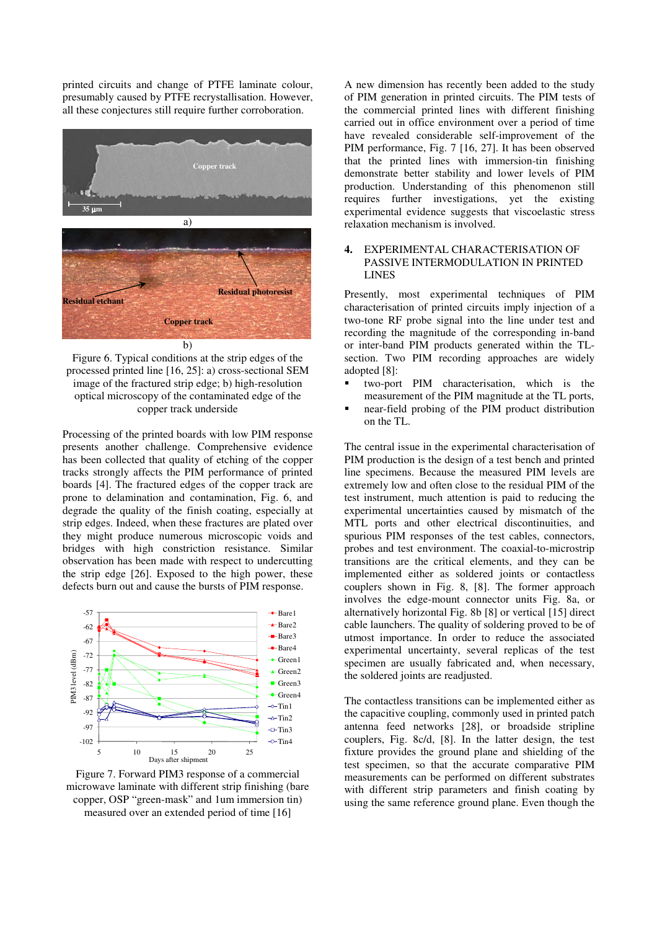printed circuits and change of PTFE laminate colour, presumably caused by PTFE recrystallisation. However, all these conjectures still require further corroboration.



Figure 6. Typical conditions at the strip edges of the processed printed line [16, 25]: a) cross-sectional SEM image of the fractured strip edge; b) high-resolution optical microscopy of the contaminated edge of the copper track underside

Processing of the printed boards with low PIM response presents another challenge. Comprehensive evidence has been collected that quality of etching of the copper tracks strongly affects the PIM performance of printed boards [4]. The fractured edges of the copper track are prone to delamination and contamination, Fig. 6, and degrade the quality of the finish coating, especially at strip edges. Indeed, when these fractures are plated over they might produce numerous microscopic voids and bridges with high constriction resistance. Similar observation has been made with respect to undercutting the strip edge [26]. Exposed to the high power, these defects burn out and cause the bursts of PIM response.



Figure 7. Forward PIM3 response of a commercial microwave laminate with different strip finishing (bare copper, OSP "green-mask" and 1um immersion tin) measured over an extended period of time [16]

A new dimension has recently been added to the study of PIM generation in printed circuits. The PIM tests of the commercial printed lines with different finishing carried out in office environment over a period of time have revealed considerable self-improvement of the PIM performance, Fig. 7 [16, 27]. It has been observed that the printed lines with immersion-tin finishing demonstrate better stability and lower levels of PIM production. Understanding of this phenomenon still requires further investigations, yet the existing experimental evidence suggests that viscoelastic stress relaxation mechanism is involved.

# 4. EXPERIMENTAL CHARACTERISATION OF PASSIVE INTERMODULATION IN PRINTED LINES

Presently, most experimental techniques of PIM characterisation of printed circuits imply injection of a two-tone RF probe signal into the line under test and recording the magnitude of the corresponding in-band or inter-band PIM products generated within the TLsection. Two PIM recording approaches are widely adopted [8]:

- two-port PIM characterisation, which is the measurement of the PIM magnitude at the TL ports,
- near-field probing of the PIM product distribution on the TL.

The central issue in the experimental characterisation of PIM production is the design of a test bench and printed line specimens. Because the measured PIM levels are extremely low and often close to the residual PIM of the test instrument, much attention is paid to reducing the experimental uncertainties caused by mismatch of the MTL ports and other electrical discontinuities, and spurious PIM responses of the test cables, connectors, probes and test environment. The coaxial-to-microstrip transitions are the critical elements, and they can be implemented either as soldered joints or contactless couplers shown in Fig. 8, [8]. The former approach involves the edge-mount connector units Fig. 8a, or alternatively horizontal Fig. 8b [8] or vertical [15] direct cable launchers. The quality of soldering proved to be of utmost importance. In order to reduce the associated experimental uncertainty, several replicas of the test specimen are usually fabricated and, when necessary, the soldered joints are readjusted.

The contactless transitions can be implemented either as the capacitive coupling, commonly used in printed patch antenna feed networks [28], or broadside stripline couplers, Fig. 8c/d, [8]. In the latter design, the test fixture provides the ground plane and shielding of the test specimen, so that the accurate comparative PIM measurements can be performed on different substrates with different strip parameters and finish coating by using the same reference ground plane. Even though the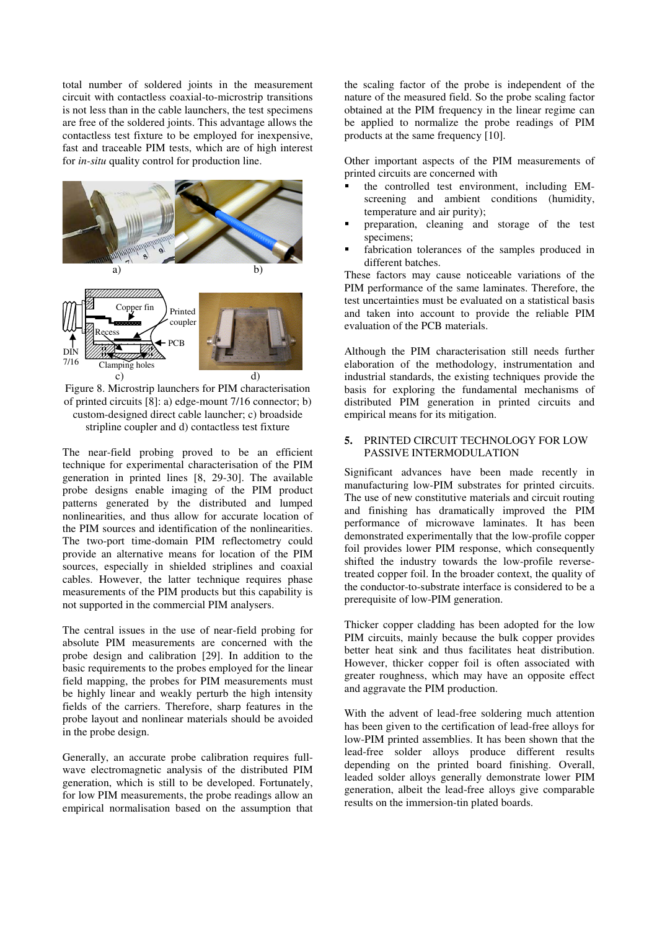total number of soldered joints in the measurement circuit with contactless coaxial-to-microstrip transitions is not less than in the cable launchers, the test specimens are free of the soldered joints. This advantage allows the contactless test fixture to be employed for inexpensive, fast and traceable PIM tests, which are of high interest for *in-situ* quality control for production line.



Figure 8. Microstrip launchers for PIM characterisation of printed circuits [8]: a) edge-mount 7/16 connector; b) custom-designed direct cable launcher; c) broadside stripline coupler and d) contactless test fixture

The near-field probing proved to be an efficient technique for experimental characterisation of the PIM generation in printed lines [8, 29-30]. The available probe designs enable imaging of the PIM product patterns generated by the distributed and lumped nonlinearities, and thus allow for accurate location of the PIM sources and identification of the nonlinearities. The two-port time-domain PIM reflectometry could provide an alternative means for location of the PIM sources, especially in shielded striplines and coaxial cables. However, the latter technique requires phase measurements of the PIM products but this capability is not supported in the commercial PIM analysers.

The central issues in the use of near-field probing for absolute PIM measurements are concerned with the probe design and calibration [29]. In addition to the basic requirements to the probes employed for the linear field mapping, the probes for PIM measurements must be highly linear and weakly perturb the high intensity fields of the carriers. Therefore, sharp features in the probe layout and nonlinear materials should be avoided in the probe design.

Generally, an accurate probe calibration requires fullwave electromagnetic analysis of the distributed PIM generation, which is still to be developed. Fortunately, for low PIM measurements, the probe readings allow an empirical normalisation based on the assumption that the scaling factor of the probe is independent of the nature of the measured field. So the probe scaling factor obtained at the PIM frequency in the linear regime can be applied to normalize the probe readings of PIM products at the same frequency [10].

Other important aspects of the PIM measurements of printed circuits are concerned with

- the controlled test environment, including EMscreening and ambient conditions (humidity, temperature and air purity);
- preparation, cleaning and storage of the test specimens;
- fabrication tolerances of the samples produced in different batches.

These factors may cause noticeable variations of the PIM performance of the same laminates. Therefore, the test uncertainties must be evaluated on a statistical basis and taken into account to provide the reliable PIM evaluation of the PCB materials.

Although the PIM characterisation still needs further elaboration of the methodology, instrumentation and industrial standards, the existing techniques provide the basis for exploring the fundamental mechanisms of distributed PIM generation in printed circuits and empirical means for its mitigation.

# 5. PRINTED CIRCUIT TECHNOLOGY FOR LOW PASSIVE INTERMODULATION

Significant advances have been made recently in manufacturing low-PIM substrates for printed circuits. The use of new constitutive materials and circuit routing and finishing has dramatically improved the PIM performance of microwave laminates. It has been demonstrated experimentally that the low-profile copper foil provides lower PIM response, which consequently shifted the industry towards the low-profile reversetreated copper foil. In the broader context, the quality of the conductor-to-substrate interface is considered to be a prerequisite of low-PIM generation.

Thicker copper cladding has been adopted for the low PIM circuits, mainly because the bulk copper provides better heat sink and thus facilitates heat distribution. However, thicker copper foil is often associated with greater roughness, which may have an opposite effect and aggravate the PIM production.

With the advent of lead-free soldering much attention has been given to the certification of lead-free alloys for low-PIM printed assemblies. It has been shown that the lead-free solder alloys produce different results depending on the printed board finishing. Overall, leaded solder alloys generally demonstrate lower PIM generation, albeit the lead-free alloys give comparable results on the immersion-tin plated boards.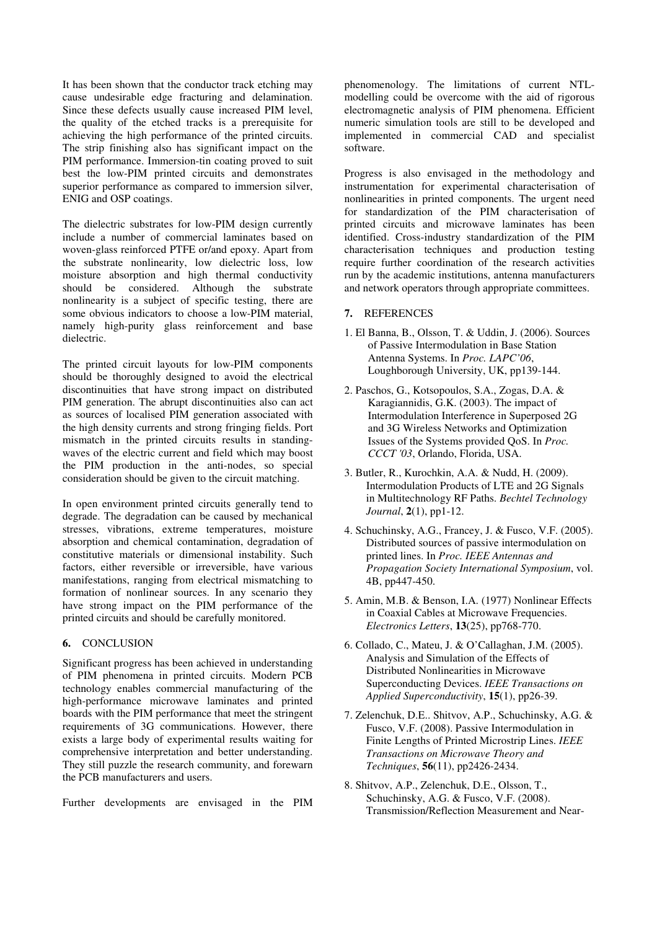It has been shown that the conductor track etching may cause undesirable edge fracturing and delamination. Since these defects usually cause increased PIM level, the quality of the etched tracks is a prerequisite for achieving the high performance of the printed circuits. The strip finishing also has significant impact on the PIM performance. Immersion-tin coating proved to suit best the low-PIM printed circuits and demonstrates superior performance as compared to immersion silver, ENIG and OSP coatings.

The dielectric substrates for low-PIM design currently include a number of commercial laminates based on woven-glass reinforced PTFE or/and epoxy. Apart from the substrate nonlinearity, low dielectric loss, low moisture absorption and high thermal conductivity should be considered. Although the substrate nonlinearity is a subject of specific testing, there are some obvious indicators to choose a low-PIM material, namely high-purity glass reinforcement and base dielectric.

The printed circuit layouts for low-PIM components should be thoroughly designed to avoid the electrical discontinuities that have strong impact on distributed PIM generation. The abrupt discontinuities also can act as sources of localised PIM generation associated with the high density currents and strong fringing fields. Port mismatch in the printed circuits results in standingwaves of the electric current and field which may boost the PIM production in the anti-nodes, so special consideration should be given to the circuit matching.

In open environment printed circuits generally tend to degrade. The degradation can be caused by mechanical stresses, vibrations, extreme temperatures, moisture absorption and chemical contamination, degradation of constitutive materials or dimensional instability. Such factors, either reversible or irreversible, have various manifestations, ranging from electrical mismatching to formation of nonlinear sources. In any scenario they have strong impact on the PIM performance of the printed circuits and should be carefully monitored.

#### 6. CONCLUSION

Significant progress has been achieved in understanding of PIM phenomena in printed circuits. Modern PCB technology enables commercial manufacturing of the high-performance microwave laminates and printed boards with the PIM performance that meet the stringent requirements of 3G communications. However, there exists a large body of experimental results waiting for comprehensive interpretation and better understanding. They still puzzle the research community, and forewarn the PCB manufacturers and users.

Further developments are envisaged in the PIM

phenomenology. The limitations of current NTLmodelling could be overcome with the aid of rigorous electromagnetic analysis of PIM phenomena. Efficient numeric simulation tools are still to be developed and implemented in commercial CAD and specialist software.

Progress is also envisaged in the methodology and instrumentation for experimental characterisation of nonlinearities in printed components. The urgent need for standardization of the PIM characterisation of printed circuits and microwave laminates has been identified. Cross-industry standardization of the PIM characterisation techniques and production testing require further coordination of the research activities run by the academic institutions, antenna manufacturers and network operators through appropriate committees.

### 7. REFERENCES

- 1. El Banna, B., Olsson, T. & Uddin, J. (2006). Sources of Passive Intermodulation in Base Station Antenna Systems. In *Proc. LAPC'06*, Loughborough University, UK, pp139-144.
- 2. Paschos, G., Kotsopoulos, S.A., Zogas, D.A. & Karagiannidis, G.K. (2003). The impact of Intermodulation Interference in Superposed 2G and 3G Wireless Networks and Optimization Issues of the Systems provided QoS. In *Proc. CCCT '03*, Orlando, Florida, USA.
- 3. Butler, R., Kurochkin, A.A. & Nudd, H. (2009). Intermodulation Products of LTE and 2G Signals in Multitechnology RF Paths. *Bechtel Technology Journal*, **2**(1), pp1-12.
- 4. Schuchinsky, A.G., Francey, J. & Fusco, V.F. (2005). Distributed sources of passive intermodulation on printed lines. In *Proc. IEEE Antennas and Propagation Society International Symposium*, vol. 4B, pp447-450.
- 5. Amin, M.B. & Benson, I.A. (1977) Nonlinear Effects in Coaxial Cables at Microwave Frequencies. *Electronics Letters*, **13**(25), pp768-770.
- 6. Collado, C., Mateu, J. & O'Callaghan, J.M. (2005). Analysis and Simulation of the Effects of Distributed Nonlinearities in Microwave Superconducting Devices. *IEEE Transactions on Applied Superconductivity*, **15**(1), pp26-39.
- 7. Zelenchuk, D.E.. Shitvov, A.P., Schuchinsky, A.G. & Fusco, V.F. (2008). Passive Intermodulation in Finite Lengths of Printed Microstrip Lines. *IEEE Transactions on Microwave Theory and Techniques*, **56**(11), pp2426-2434.
- 8. Shitvov, A.P., Zelenchuk, D.E., Olsson, T., Schuchinsky, A.G. & Fusco, V.F. (2008). Transmission/Reflection Measurement and Near-